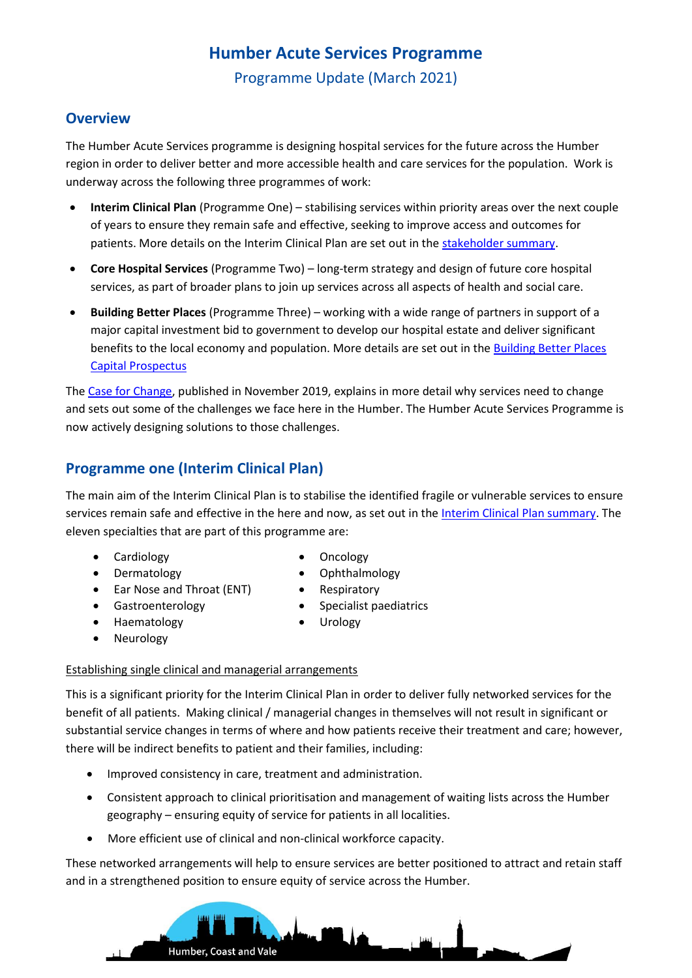# **Humber Acute Services Programme**

Programme Update (March 2021)

### **Overview**

The Humber Acute Services programme is designing hospital services for the future across the Humber region in order to deliver better and more accessible health and care services for the population. Work is underway across the following three programmes of work:

- **Interim Clinical Plan** (Programme One) stabilising services within priority areas over the next couple of years to ensure they remain safe and effective, seeking to improve access and outcomes for patients. More details on the Interim Clinical Plan are set out in the [stakeholder summary.](https://humbercoastandvale.org.uk/wp-content/uploads/2020/09/Interim-Clinical-Plan_summary_final-version.pdf)
- **Core Hospital Services** (Programme Two) long-term strategy and design of future core hospital services, as part of broader plans to join up services across all aspects of health and social care.
- **Building Better Places** (Programme Three) working with a wide range of partners in support of a major capital investment bid to government to develop our hospital estate and deliver significant benefits to the local economy and population. More details are set out in the Building Better Places [Capital Prospectus](https://humbercoastandvale.org.uk/wp-content/uploads/2021/02/Building-Better-Places-prospectus-final-doubles.pdf)

The [Case for Change,](https://humbercoastandvale.org.uk/wp-content/uploads/2020/02/HASR-Long-Case-for-Change_Final-for-Publication.pdf) published in November 2019, explains in more detail why services need to change and sets out some of the challenges we face here in the Humber. The Humber Acute Services Programme is now actively designing solutions to those challenges.

### **Programme one (Interim Clinical Plan)**

The main aim of the Interim Clinical Plan is to stabilise the identified fragile or vulnerable services to ensure services remain safe and effective in the here and now, as set out in th[e Interim Clinical Plan summary.](https://humbercoastandvale.org.uk/wp-content/uploads/2020/09/Interim-Clinical-Plan_summary_final-version.pdf) The eleven specialties that are part of this programme are:

- Cardiology Oncology
- 
- Ear Nose and Throat (ENT) Respiratory
- 
- 
- Dermatology Ophthalmology
	-
- Gastroenterology **•** Specialist paediatrics
	- Haematology Urology
- **Neurology**

#### Establishing single clinical and managerial arrangements

This is a significant priority for the Interim Clinical Plan in order to deliver fully networked services for the benefit of all patients. Making clinical / managerial changes in themselves will not result in significant or substantial service changes in terms of where and how patients receive their treatment and care; however, there will be indirect benefits to patient and their families, including:

- Improved consistency in care, treatment and administration.
- Consistent approach to clinical prioritisation and management of waiting lists across the Humber geography – ensuring equity of service for patients in all localities.
- More efficient use of clinical and non-clinical workforce capacity.

These networked arrangements will help to ensure services are better positioned to attract and retain staff and in a strengthened position to ensure equity of service across the Humber.

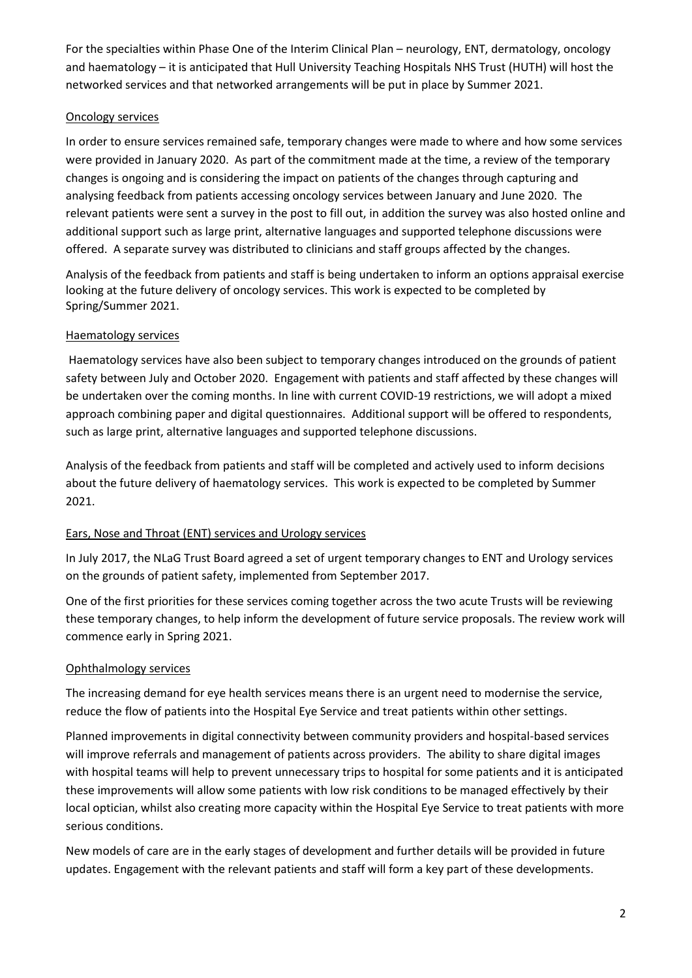For the specialties within Phase One of the Interim Clinical Plan – neurology, ENT, dermatology, oncology and haematology – it is anticipated that Hull University Teaching Hospitals NHS Trust (HUTH) will host the networked services and that networked arrangements will be put in place by Summer 2021.

#### Oncology services

In order to ensure services remained safe, temporary changes were made to where and how some services were provided in January 2020. As part of the commitment made at the time, a review of the temporary changes is ongoing and is considering the impact on patients of the changes through capturing and analysing feedback from patients accessing oncology services between January and June 2020. The relevant patients were sent a survey in the post to fill out, in addition the survey was also hosted online and additional support such as large print, alternative languages and supported telephone discussions were offered. A separate survey was distributed to clinicians and staff groups affected by the changes.

Analysis of the feedback from patients and staff is being undertaken to inform an options appraisal exercise looking at the future delivery of oncology services. This work is expected to be completed by Spring/Summer 2021.

#### Haematology services

Haematology services have also been subject to temporary changes introduced on the grounds of patient safety between July and October 2020. Engagement with patients and staff affected by these changes will be undertaken over the coming months. In line with current COVID-19 restrictions, we will adopt a mixed approach combining paper and digital questionnaires. Additional support will be offered to respondents, such as large print, alternative languages and supported telephone discussions.

Analysis of the feedback from patients and staff will be completed and actively used to inform decisions about the future delivery of haematology services. This work is expected to be completed by Summer 2021.

### Ears, Nose and Throat (ENT) services and Urology services

In July 2017, the NLaG Trust Board agreed a set of urgent temporary changes to ENT and Urology services on the grounds of patient safety, implemented from September 2017.

One of the first priorities for these services coming together across the two acute Trusts will be reviewing these temporary changes, to help inform the development of future service proposals. The review work will commence early in Spring 2021.

### Ophthalmology services

The increasing demand for eye health services means there is an urgent need to modernise the service, reduce the flow of patients into the Hospital Eye Service and treat patients within other settings.

Planned improvements in digital connectivity between community providers and hospital-based services will improve referrals and management of patients across providers. The ability to share digital images with hospital teams will help to prevent unnecessary trips to hospital for some patients and it is anticipated these improvements will allow some patients with low risk conditions to be managed effectively by their local optician, whilst also creating more capacity within the Hospital Eye Service to treat patients with more serious conditions.

New models of care are in the early stages of development and further details will be provided in future updates. Engagement with the relevant patients and staff will form a key part of these developments.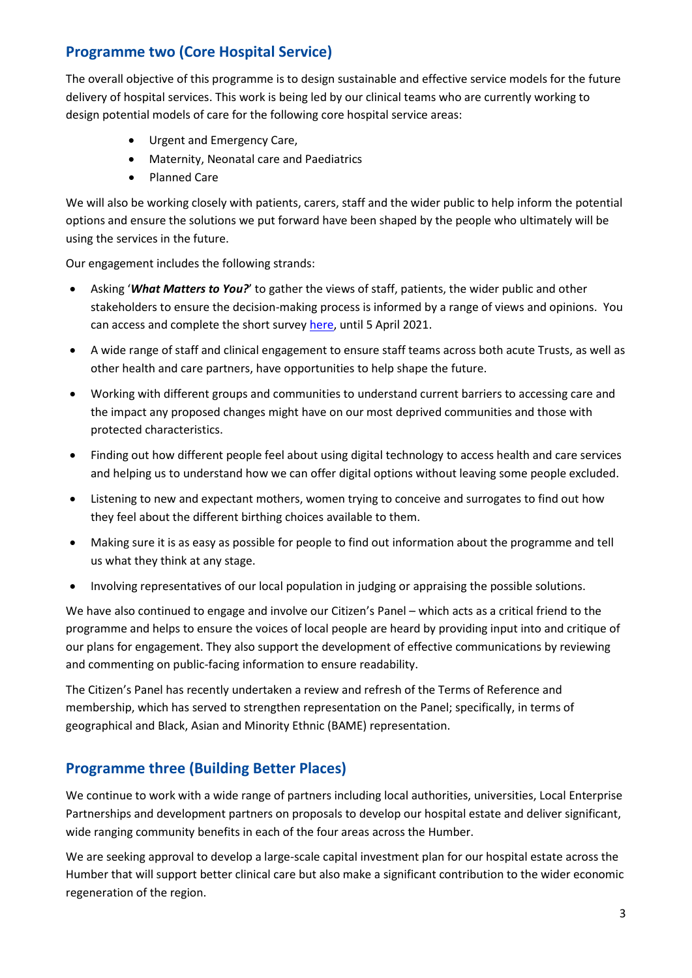# **Programme two (Core Hospital Service)**

The overall objective of this programme is to design sustainable and effective service models for the future delivery of hospital services. This work is being led by our clinical teams who are currently working to design potential models of care for the following core hospital service areas:

- Urgent and Emergency Care,
- Maternity, Neonatal care and Paediatrics
- Planned Care

We will also be working closely with patients, carers, staff and the wider public to help inform the potential options and ensure the solutions we put forward have been shaped by the people who ultimately will be using the services in the future.

Our engagement includes the following strands:

- Asking '*What Matters to You?*' to gather the views of staff, patients, the wider public and other stakeholders to ensure the decision-making process is informed by a range of views and opinions. You can access and complete the short surve[y here,](https://www.surveymonkey.co.uk/r/Hospitalsofthefuture) until 5 April 2021.
- A wide range of staff and clinical engagement to ensure staff teams across both acute Trusts, as well as other health and care partners, have opportunities to help shape the future.
- Working with different groups and communities to understand current barriers to accessing care and the impact any proposed changes might have on our most deprived communities and those with protected characteristics.
- Finding out how different people feel about using digital technology to access health and care services and helping us to understand how we can offer digital options without leaving some people excluded.
- Listening to new and expectant mothers, women trying to conceive and surrogates to find out how they feel about the different birthing choices available to them.
- Making sure it is as easy as possible for people to find out information about the programme and tell us what they think at any stage.
- Involving representatives of our local population in judging or appraising the possible solutions.

We have also continued to engage and involve our Citizen's Panel – which acts as a critical friend to the programme and helps to ensure the voices of local people are heard by providing input into and critique of our plans for engagement. They also support the development of effective communications by reviewing and commenting on public-facing information to ensure readability.

The Citizen's Panel has recently undertaken a review and refresh of the Terms of Reference and membership, which has served to strengthen representation on the Panel; specifically, in terms of geographical and Black, Asian and Minority Ethnic (BAME) representation.

# **Programme three (Building Better Places)**

We continue to work with a wide range of partners including local authorities, universities, Local Enterprise Partnerships and development partners on proposals to develop our hospital estate and deliver significant, wide ranging community benefits in each of the four areas across the Humber.

We are seeking approval to develop a large-scale capital investment plan for our hospital estate across the Humber that will support better clinical care but also make a significant contribution to the wider economic regeneration of the region.